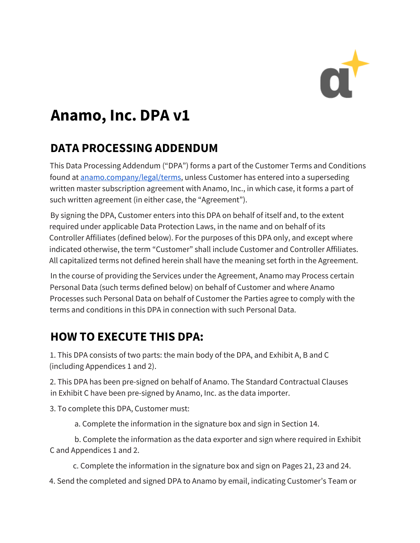

# **Anamo, Inc. DPA v1**

## **DATA PROCESSING ADDENDUM**

This Data Processing Addendum ("DPA") forms a part of the Customer Terms and Conditions found at anamo.company/legal/terms, unless Customer has entered into a superseding written master subscription agreement with Anamo, Inc., in which case, it forms a part of such written agreement (in either case, the "Agreement").

By signing the DPA, Customer enters into this DPA on behalf of itself and, to the extent required under applicable Data Protection Laws, in the name and on behalf of its Controller Affiliates (defined below). For the purposes of this DPA only, and except where indicated otherwise, the term "Customer" shall include Customer and Controller Affiliates. All capitalized terms not defined herein shall have the meaning set forth in the Agreement.

In the course of providing the Services under the Agreement, Anamo may Process certain Personal Data (such terms defined below) on behalf of Customer and where Anamo Processes such Personal Data on behalf of Customer the Parties agree to comply with the terms and conditions in this DPA in connection with such Personal Data.

## **HOW TO EXECUTE THIS DPA:**

1. This DPA consists of two parts: the main body of the DPA, and Exhibit A, B and C (including Appendices 1 and 2).

2. This DPA has been pre-signed on behalf of Anamo. The Standard Contractual Clauses in Exhibit C have been pre-signed by Anamo, Inc. as the data importer.

3. To complete this DPA, Customer must:

a. Complete the information in the signature box and sign in Section 14.

b. Complete the information as the data exporter and sign where required in Exhibit C and Appendices 1 and 2.

c. Complete the information in the signature box and sign on Pages 21, 23 and 24.

4. Send the completed and signed DPA to Anamo by email, indicating Customer's Team or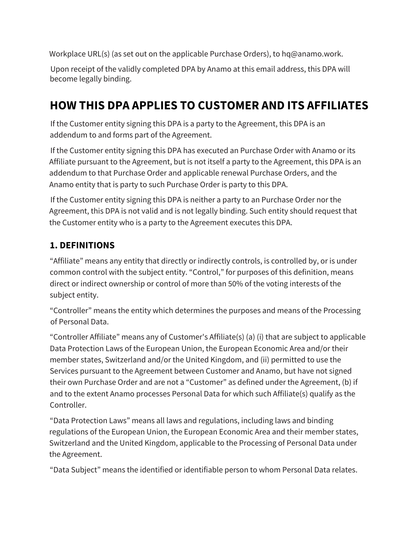Workplace URL(s) (as set out on the applicable Purchase Orders), to hq@anamo.work.

Upon receipt of the validly completed DPA by Anamo at this email address, this DPA will become legally binding.

## **HOW THIS DPA APPLIES TO CUSTOMER AND ITS AFFILIATES**

If the Customer entity signing this DPA is a party to the Agreement, this DPA is an addendum to and forms part of the Agreement.

If the Customer entity signing this DPA has executed an Purchase Order with Anamo or its Affiliate pursuant to the Agreement, but is not itself a party to the Agreement, this DPA is an addendum to that Purchase Order and applicable renewal Purchase Orders, and the Anamo entity that is party to such Purchase Order is party to this DPA.

If the Customer entity signing this DPA is neither a party to an Purchase Order nor the Agreement, this DPA is not valid and is not legally binding. Such entity should request that the Customer entity who is a party to the Agreement executes this DPA.

## **1. DEFINITIONS**

"Affiliate" means any entity that directly or indirectly controls, is controlled by, or is under common control with the subject entity. "Control," for purposes of this definition, means direct or indirect ownership or control of more than 50% of the voting interests of the subject entity.

"Controller" means the entity which determines the purposes and means of the Processing of Personal Data.

"Controller Affiliate" means any of Customer's Affiliate(s) (a) (i) that are subject to applicable Data Protection Laws of the European Union, the European Economic Area and/or their member states, Switzerland and/or the United Kingdom, and (ii) permitted to use the Services pursuant to the Agreement between Customer and Anamo, but have not signed their own Purchase Order and are not a "Customer" as defined under the Agreement, (b) if and to the extent Anamo processes Personal Data for which such Affiliate(s) qualify as the Controller.

"Data Protection Laws" means all laws and regulations, including laws and binding regulations of the European Union, the European Economic Area and their member states, Switzerland and the United Kingdom, applicable to the Processing of Personal Data under the Agreement.

"Data Subject" means the identified or identifiable person to whom Personal Data relates.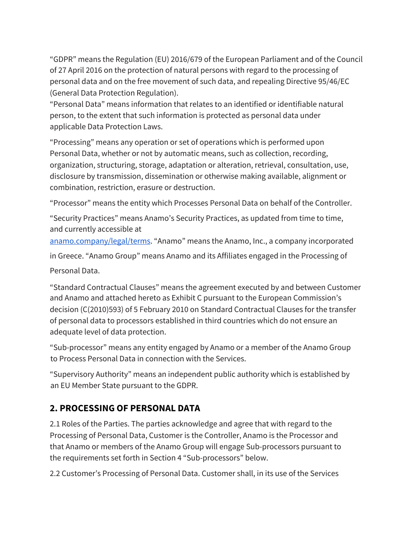"GDPR" means the Regulation (EU) 2016/679 of the European Parliament and of the Council of 27 April 2016 on the protection of natural persons with regard to the processing of personal data and on the free movement of such data, and repealing Directive 95/46/EC (General Data Protection Regulation).

"Personal Data" means information that relates to an identified or identifiable natural person, to the extent that such information is protected as personal data under applicable Data Protection Laws.

"Processing" means any operation or set of operations which is performed upon Personal Data, whether or not by automatic means, such as collection, recording, organization, structuring, storage, adaptation or alteration, retrieval, consultation, use, disclosure by transmission, dissemination or otherwise making available, alignment or combination, restriction, erasure or destruction.

"Processor" means the entity which Processes Personal Data on behalf of the Controller.

"Security Practices" means Anamo's Security Practices, as updated from time to time, and currently accessible at

anamo.company/legal/terms. "Anamo" means the Anamo, Inc., a company incorporated

in Greece. "Anamo Group" means Anamo and its Affiliates engaged in the Processing of

Personal Data.

"Standard Contractual Clauses" means the agreement executed by and between Customer and Anamo and attached hereto as Exhibit C pursuant to the European Commission's decision (C(2010)593) of 5 February 2010 on Standard Contractual Clauses for the transfer of personal data to processors established in third countries which do not ensure an adequate level of data protection.

"Sub-processor" means any entity engaged by Anamo or a member of the Anamo Group to Process Personal Data in connection with the Services.

"Supervisory Authority" means an independent public authority which is established by an EU Member State pursuant to the GDPR.

## **2. PROCESSING OF PERSONAL DATA**

2.1 Roles of the Parties. The parties acknowledge and agree that with regard to the Processing of Personal Data, Customer is the Controller, Anamo is the Processor and that Anamo or members of the Anamo Group will engage Sub-processors pursuant to the requirements set forth in Section 4 "Sub-processors" below.

2.2 Customer's Processing of Personal Data. Customer shall, in its use of the Services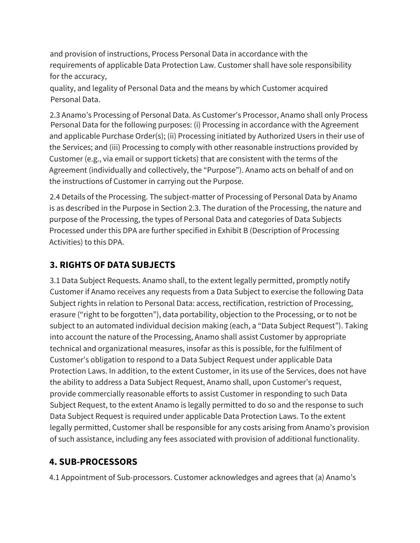and provision of instructions, Process Personal Data in accordance with the requirements of applicable Data Protection Law. Customer shall have sole responsibility for the accuracy,

quality, and legality of Personal Data and the means by which Customer acquired Personal Data.

2.3 Anamo's Processing of Personal Data. As Customer's Processor, Anamo shall only Process Personal Data for the following purposes: (i) Processing in accordance with the Agreement and applicable Purchase Order(s); (ii) Processing initiated by Authorized Users in their use of the Services; and (iii) Processing to comply with other reasonable instructions provided by Customer (e.g., via email or support tickets) that are consistent with the terms of the Agreement (individually and collectively, the "Purpose"). Anamo acts on behalf of and on the instructions of Customer in carrying out the Purpose.

2.4 Details of the Processing. The subject-matter of Processing of Personal Data by Anamo is as described in the Purpose in Section 2.3. The duration of the Processing, the nature and purpose of the Processing, the types of Personal Data and categories of Data Subjects Processed under this DPA are further specified in Exhibit B (Description of Processing Activities) to this DPA.

## **3. RIGHTS OF DATA SUBJECTS**

3.1 Data Subject Requests. Anamo shall, to the extent legally permitted, promptly notify Customer if Anamo receives any requests from a Data Subject to exercise the following Data Subject rights in relation to Personal Data: access, rectification, restriction of Processing, erasure ("right to be forgotten"), data portability, objection to the Processing, or to not be subject to an automated individual decision making (each, a "Data Subject Request"). Taking into account the nature of the Processing, Anamo shall assist Customer by appropriate technical and organizational measures, insofar as this is possible, for the fulfilment of Customer's obligation to respond to a Data Subject Request under applicable Data Protection Laws. In addition, to the extent Customer, in its use of the Services, does not have the ability to address a Data Subject Request, Anamo shall, upon Customer's request, provide commercially reasonable efforts to assist Customer in responding to such Data Subject Request, to the extent Anamo is legally permitted to do so and the response to such Data Subject Request is required under applicable Data Protection Laws. To the extent legally permitted, Customer shall be responsible for any costs arising from Anamo's provision of such assistance, including any fees associated with provision of additional functionality.

## **4. SUB-PROCESSORS**

4.1 Appointment of Sub-processors. Customer acknowledges and agrees that (a) Anamo's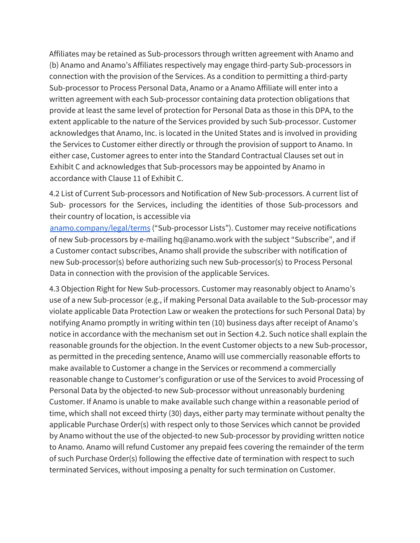Affiliates may be retained as Sub-processors through written agreement with Anamo and (b) Anamo and Anamo's Affiliates respectively may engage third-party Sub-processors in connection with the provision of the Services. As a condition to permitting a third-party Sub-processor to Process Personal Data, Anamo or a Anamo Affiliate will enter into a written agreement with each Sub-processor containing data protection obligations that provide at least the same level of protection for Personal Data as those in this DPA, to the extent applicable to the nature of the Services provided by such Sub-processor. Customer acknowledges that Anamo, Inc. is located in the United States and is involved in providing the Services to Customer either directly or through the provision of support to Anamo. In either case, Customer agrees to enter into the Standard Contractual Clauses set out in Exhibit C and acknowledges that Sub-processors may be appointed by Anamo in accordance with Clause 11 of Exhibit C.

4.2 List of Current Sub-processors and Notification of New Sub-processors. A current list of Sub- processors for the Services, including the identities of those Sub-processors and their country of location, is accessible via

anamo.company/legal/terms ("Sub-processor Lists"). Customer may receive notifications of new Sub-processors by e-mailing hq@anamo.work with the subject "Subscribe", and if a Customer contact subscribes, Anamo shall provide the subscriber with notification of new Sub-processor(s) before authorizing such new Sub-processor(s) to Process Personal Data in connection with the provision of the applicable Services.

4.3 Objection Right for New Sub-processors. Customer may reasonably object to Anamo's use of a new Sub-processor (e.g., if making Personal Data available to the Sub-processor may violate applicable Data Protection Law or weaken the protections for such Personal Data) by notifying Anamo promptly in writing within ten (10) business days after receipt of Anamo's notice in accordance with the mechanism set out in Section 4.2. Such notice shall explain the reasonable grounds for the objection. In the event Customer objects to a new Sub-processor, as permitted in the preceding sentence, Anamo will use commercially reasonable efforts to make available to Customer a change in the Services or recommend a commercially reasonable change to Customer's configuration or use of the Services to avoid Processing of Personal Data by the objected-to new Sub-processor without unreasonably burdening Customer. If Anamo is unable to make available such change within a reasonable period of time, which shall not exceed thirty (30) days, either party may terminate without penalty the applicable Purchase Order(s) with respect only to those Services which cannot be provided by Anamo without the use of the objected-to new Sub-processor by providing written notice to Anamo. Anamo will refund Customer any prepaid fees covering the remainder of the term of such Purchase Order(s) following the effective date of termination with respect to such terminated Services, without imposing a penalty for such termination on Customer.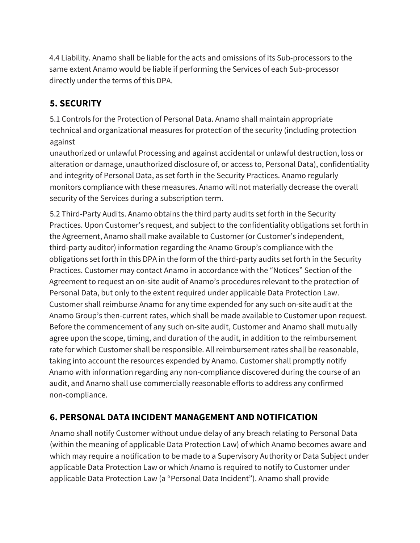4.4 Liability. Anamo shall be liable for the acts and omissions of its Sub-processors to the same extent Anamo would be liable if performing the Services of each Sub-processor directly under the terms of this DPA.

## **5. SECURITY**

5.1 Controls for the Protection of Personal Data. Anamo shall maintain appropriate technical and organizational measures for protection of the security (including protection against

unauthorized or unlawful Processing and against accidental or unlawful destruction, loss or alteration or damage, unauthorized disclosure of, or access to, Personal Data), confidentiality and integrity of Personal Data, as set forth in the Security Practices. Anamo regularly monitors compliance with these measures. Anamo will not materially decrease the overall security of the Services during a subscription term.

5.2 Third-Party Audits. Anamo obtains the third party audits set forth in the Security Practices. Upon Customer's request, and subject to the confidentiality obligations set forth in the Agreement, Anamo shall make available to Customer (or Customer's independent, third-party auditor) information regarding the Anamo Group's compliance with the obligations set forth in this DPA in the form of the third-party audits set forth in the Security Practices. Customer may contact Anamo in accordance with the "Notices" Section of the Agreement to request an on-site audit of Anamo's procedures relevant to the protection of Personal Data, but only to the extent required under applicable Data Protection Law. Customer shall reimburse Anamo for any time expended for any such on-site audit at the Anamo Group's then-current rates, which shall be made available to Customer upon request. Before the commencement of any such on-site audit, Customer and Anamo shall mutually agree upon the scope, timing, and duration of the audit, in addition to the reimbursement rate for which Customer shall be responsible. All reimbursement rates shall be reasonable, taking into account the resources expended by Anamo. Customer shall promptly notify Anamo with information regarding any non-compliance discovered during the course of an audit, and Anamo shall use commercially reasonable efforts to address any confirmed non-compliance.

## **6. PERSONAL DATA INCIDENT MANAGEMENT AND NOTIFICATION**

Anamo shall notify Customer without undue delay of any breach relating to Personal Data (within the meaning of applicable Data Protection Law) of which Anamo becomes aware and which may require a notification to be made to a Supervisory Authority or Data Subject under applicable Data Protection Law or which Anamo is required to notify to Customer under applicable Data Protection Law (a "Personal Data Incident"). Anamo shall provide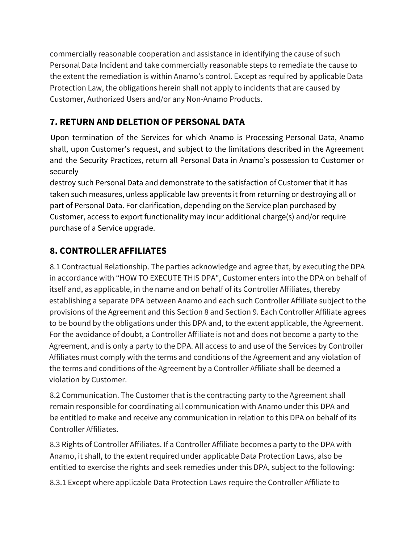commercially reasonable cooperation and assistance in identifying the cause of such Personal Data Incident and take commercially reasonable steps to remediate the cause to the extent the remediation is within Anamo's control. Except as required by applicable Data Protection Law, the obligations herein shall not apply to incidents that are caused by Customer, Authorized Users and/or any Non-Anamo Products.

### **7. RETURN AND DELETION OF PERSONAL DATA**

Upon termination of the Services for which Anamo is Processing Personal Data, Anamo shall, upon Customer's request, and subject to the limitations described in the Agreement and the Security Practices, return all Personal Data in Anamo's possession to Customer or securely

destroy such Personal Data and demonstrate to the satisfaction of Customer that it has taken such measures, unless applicable law prevents it from returning or destroying all or part of Personal Data. For clarification, depending on the Service plan purchased by Customer, access to export functionality may incur additional charge(s) and/or require purchase of a Service upgrade.

### **8. CONTROLLER AFFILIATES**

8.1 Contractual Relationship. The parties acknowledge and agree that, by executing the DPA in accordance with "HOW TO EXECUTE THIS DPA", Customer enters into the DPA on behalf of itself and, as applicable, in the name and on behalf of its Controller Affiliates, thereby establishing a separate DPA between Anamo and each such Controller Affiliate subject to the provisions of the Agreement and this Section 8 and Section 9. Each Controller Affiliate agrees to be bound by the obligations under this DPA and, to the extent applicable, the Agreement. For the avoidance of doubt, a Controller Affiliate is not and does not become a party to the Agreement, and is only a party to the DPA. All access to and use of the Services by Controller Affiliates must comply with the terms and conditions of the Agreement and any violation of the terms and conditions of the Agreement by a Controller Affiliate shall be deemed a violation by Customer.

8.2 Communication. The Customer that is the contracting party to the Agreement shall remain responsible for coordinating all communication with Anamo under this DPA and be entitled to make and receive any communication in relation to this DPA on behalf of its Controller Affiliates.

8.3 Rights of Controller Affiliates. If a Controller Affiliate becomes a party to the DPA with Anamo, it shall, to the extent required under applicable Data Protection Laws, also be entitled to exercise the rights and seek remedies under this DPA, subject to the following:

8.3.1 Except where applicable Data Protection Laws require the Controller Affiliate to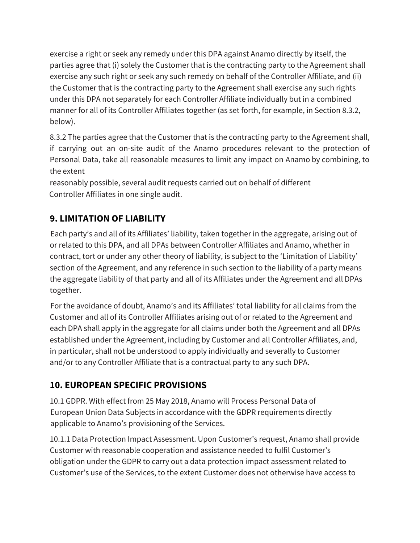exercise a right or seek any remedy under this DPA against Anamo directly by itself, the parties agree that (i) solely the Customer that is the contracting party to the Agreement shall exercise any such right or seek any such remedy on behalf of the Controller Affiliate, and (ii) the Customer that is the contracting party to the Agreement shall exercise any such rights under this DPA not separately for each Controller Affiliate individually but in a combined manner for all of its Controller Affiliates together (as set forth, for example, in Section 8.3.2, below).

8.3.2 The parties agree that the Customer that is the contracting party to the Agreement shall, if carrying out an on-site audit of the Anamo procedures relevant to the protection of Personal Data, take all reasonable measures to limit any impact on Anamo by combining, to the extent

reasonably possible, several audit requests carried out on behalf of different Controller Affiliates in one single audit.

## **9. LIMITATION OF LIABILITY**

Each party's and all of its Affiliates' liability, taken together in the aggregate, arising out of or related to this DPA, and all DPAs between Controller Affiliates and Anamo, whether in contract, tort or under any other theory of liability, is subject to the 'Limitation of Liability' section of the Agreement, and any reference in such section to the liability of a party means the aggregate liability of that party and all of its Affiliates under the Agreement and all DPAs together.

For the avoidance of doubt, Anamo's and its Affiliates' total liability for all claims from the Customer and all of its Controller Affiliates arising out of or related to the Agreement and each DPA shall apply in the aggregate for all claims under both the Agreement and all DPAs established under the Agreement, including by Customer and all Controller Affiliates, and, in particular, shall not be understood to apply individually and severally to Customer and/or to any Controller Affiliate that is a contractual party to any such DPA.

#### **10. EUROPEAN SPECIFIC PROVISIONS**

10.1 GDPR. With effect from 25 May 2018, Anamo will Process Personal Data of European Union Data Subjects in accordance with the GDPR requirements directly applicable to Anamo's provisioning of the Services.

10.1.1 Data Protection Impact Assessment. Upon Customer's request, Anamo shall provide Customer with reasonable cooperation and assistance needed to fulfil Customer's obligation under the GDPR to carry out a data protection impact assessment related to Customer's use of the Services, to the extent Customer does not otherwise have access to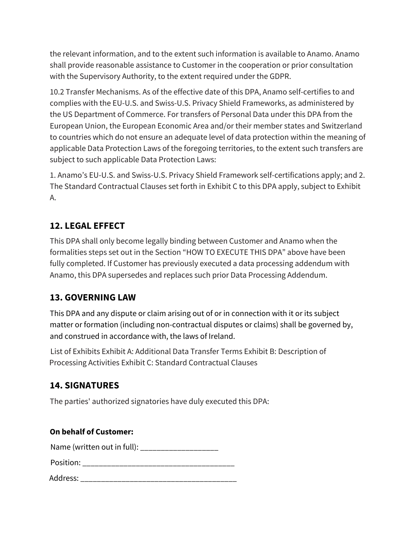the relevant information, and to the extent such information is available to Anamo. Anamo shall provide reasonable assistance to Customer in the cooperation or prior consultation with the Supervisory Authority, to the extent required under the GDPR.

10.2 Transfer Mechanisms. As of the effective date of this DPA, Anamo self-certifies to and complies with the EU-U.S. and Swiss-U.S. Privacy Shield Frameworks, as administered by the US Department of Commerce. For transfers of Personal Data under this DPA from the European Union, the European Economic Area and/or their member states and Switzerland to countries which do not ensure an adequate level of data protection within the meaning of applicable Data Protection Laws of the foregoing territories, to the extent such transfers are subject to such applicable Data Protection Laws:

1. Anamo's EU-U.S. and Swiss-U.S. Privacy Shield Framework self-certifications apply; and 2. The Standard Contractual Clauses set forth in Exhibit C to this DPA apply, subject to Exhibit A.

## **12. LEGAL EFFECT**

This DPA shall only become legally binding between Customer and Anamo when the formalities steps set out in the Section "HOW TO EXECUTE THIS DPA" above have been fully completed. If Customer has previously executed a data processing addendum with Anamo, this DPA supersedes and replaces such prior Data Processing Addendum.

## **13. GOVERNING LAW**

This DPA and any dispute or claim arising out of or in connection with it or its subject matter or formation (including non-contractual disputes or claims) shall be governed by, and construed in accordance with, the laws of Ireland.

List of Exhibits Exhibit A: Additional Data Transfer Terms Exhibit B: Description of Processing Activities Exhibit C: Standard Contractual Clauses

## **14. SIGNATURES**

The parties' authorized signatories have duly executed this DPA:

#### **On behalf of Customer:**

Name (written out in full): \_\_\_\_\_\_\_\_\_\_\_\_\_\_\_\_\_\_\_\_

Position: \_\_\_\_\_\_\_\_\_\_\_\_\_\_\_\_\_\_\_\_\_\_\_\_\_\_\_\_\_\_\_\_\_\_\_\_\_

Address: \_\_\_\_\_\_\_\_\_\_\_\_\_\_\_\_\_\_\_\_\_\_\_\_\_\_\_\_\_\_\_\_\_\_\_\_\_\_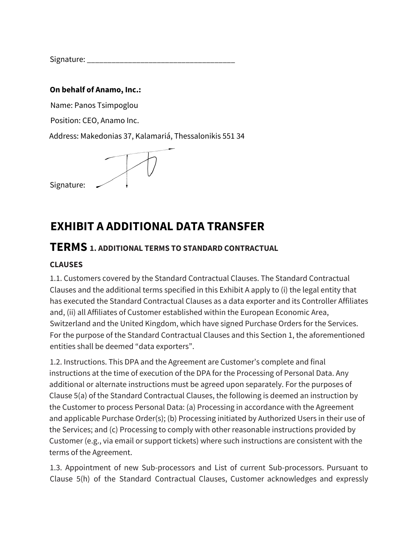Signature: \_\_\_\_\_\_\_\_\_\_\_\_\_\_\_\_\_\_\_\_\_\_\_\_\_\_\_\_\_\_\_\_\_\_\_\_

#### **On behalf of Anamo, Inc.:**

Name: Panos Tsimpoglou

Position: CEO, Anamo Inc.

Address: Makedonias 37, Kalamariá, Thessalonikis 551 34

## **EXHIBIT A ADDITIONAL DATA TRANSFER**

## **TERMS 1. ADDITIONAL TERMS TO STANDARD CONTRACTUAL**

#### **CLAUSES**

Signature:

1.1. Customers covered by the Standard Contractual Clauses. The Standard Contractual Clauses and the additional terms specified in this Exhibit A apply to (i) the legal entity that has executed the Standard Contractual Clauses as a data exporter and its Controller Affiliates and, (ii) all Affiliates of Customer established within the European Economic Area, Switzerland and the United Kingdom, which have signed Purchase Orders for the Services. For the purpose of the Standard Contractual Clauses and this Section 1, the aforementioned entities shall be deemed "data exporters".

1.2. Instructions. This DPA and the Agreement are Customer's complete and final instructions at the time of execution of the DPA for the Processing of Personal Data. Any additional or alternate instructions must be agreed upon separately. For the purposes of Clause 5(a) of the Standard Contractual Clauses, the following is deemed an instruction by the Customer to process Personal Data: (a) Processing in accordance with the Agreement and applicable Purchase Order(s); (b) Processing initiated by Authorized Users in their use of the Services; and (c) Processing to comply with other reasonable instructions provided by Customer (e.g., via email or support tickets) where such instructions are consistent with the terms of the Agreement.

1.3. Appointment of new Sub-processors and List of current Sub-processors. Pursuant to Clause 5(h) of the Standard Contractual Clauses, Customer acknowledges and expressly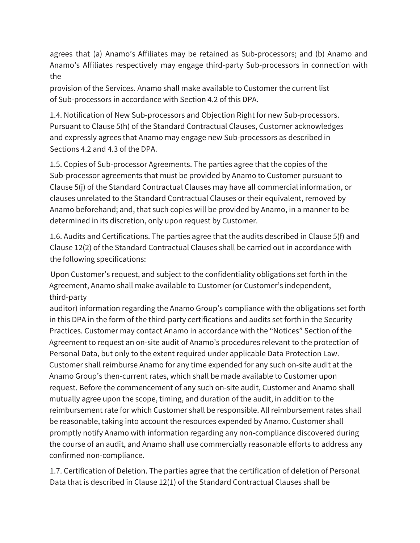agrees that (a) Anamo's Affiliates may be retained as Sub-processors; and (b) Anamo and Anamo's Affiliates respectively may engage third-party Sub-processors in connection with the

provision of the Services. Anamo shall make available to Customer the current list of Sub-processors in accordance with Section 4.2 of this DPA.

1.4. Notification of New Sub-processors and Objection Right for new Sub-processors. Pursuant to Clause 5(h) of the Standard Contractual Clauses, Customer acknowledges and expressly agrees that Anamo may engage new Sub-processors as described in Sections 4.2 and 4.3 of the DPA.

1.5. Copies of Sub-processor Agreements. The parties agree that the copies of the Sub-processor agreements that must be provided by Anamo to Customer pursuant to Clause 5(j) of the Standard Contractual Clauses may have all commercial information, or clauses unrelated to the Standard Contractual Clauses or their equivalent, removed by Anamo beforehand; and, that such copies will be provided by Anamo, in a manner to be determined in its discretion, only upon request by Customer.

1.6. Audits and Certifications. The parties agree that the audits described in Clause 5(f) and Clause 12(2) of the Standard Contractual Clauses shall be carried out in accordance with the following specifications:

Upon Customer's request, and subject to the confidentiality obligations set forth in the Agreement, Anamo shall make available to Customer (or Customer's independent, third-party

auditor) information regarding the Anamo Group's compliance with the obligations set forth in this DPA in the form of the third-party certifications and audits set forth in the Security Practices. Customer may contact Anamo in accordance with the "Notices" Section of the Agreement to request an on-site audit of Anamo's procedures relevant to the protection of Personal Data, but only to the extent required under applicable Data Protection Law. Customer shall reimburse Anamo for any time expended for any such on-site audit at the Anamo Group's then-current rates, which shall be made available to Customer upon request. Before the commencement of any such on-site audit, Customer and Anamo shall mutually agree upon the scope, timing, and duration of the audit, in addition to the reimbursement rate for which Customer shall be responsible. All reimbursement rates shall be reasonable, taking into account the resources expended by Anamo. Customer shall promptly notify Anamo with information regarding any non-compliance discovered during the course of an audit, and Anamo shall use commercially reasonable efforts to address any confirmed non-compliance.

1.7. Certification of Deletion. The parties agree that the certification of deletion of Personal Data that is described in Clause 12(1) of the Standard Contractual Clauses shall be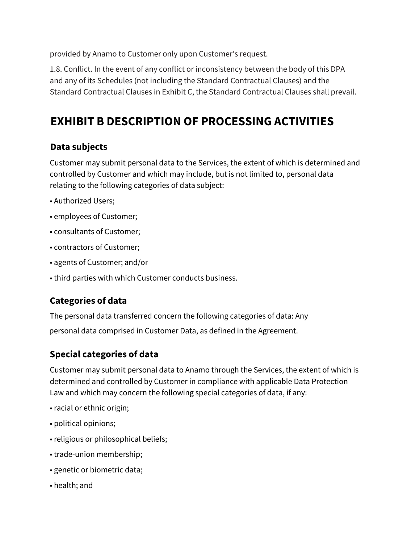provided by Anamo to Customer only upon Customer's request.

1.8. Conflict. In the event of any conflict or inconsistency between the body of this DPA and any of its Schedules (not including the Standard Contractual Clauses) and the Standard Contractual Clauses in Exhibit C, the Standard Contractual Clauses shall prevail.

## **EXHIBIT B DESCRIPTION OF PROCESSING ACTIVITIES**

## **Data subjects**

Customer may submit personal data to the Services, the extent of which is determined and controlled by Customer and which may include, but is not limited to, personal data relating to the following categories of data subject:

- Authorized Users;
- employees of Customer;
- consultants of Customer;
- contractors of Customer;
- agents of Customer; and/or
- third parties with which Customer conducts business.

## **Categories of data**

The personal data transferred concern the following categories of data: Any

personal data comprised in Customer Data, as defined in the Agreement.

## **Special categories of data**

Customer may submit personal data to Anamo through the Services, the extent of which is determined and controlled by Customer in compliance with applicable Data Protection Law and which may concern the following special categories of data, if any:

- racial or ethnic origin;
- political opinions;
- religious or philosophical beliefs;
- trade-union membership;
- genetic or biometric data;
- health; and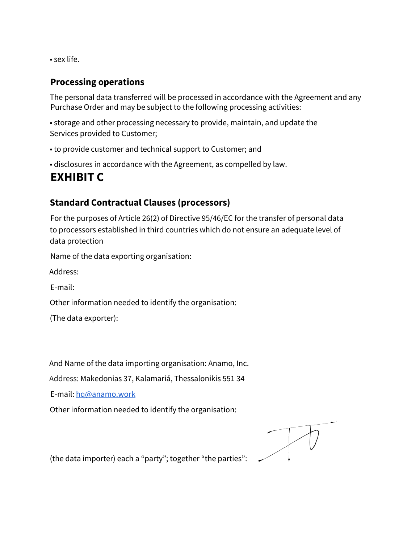• sex life.

#### **Processing operations**

The personal data transferred will be processed in accordance with the Agreement and any Purchase Order and may be subject to the following processing activities:

• storage and other processing necessary to provide, maintain, and update the Services provided to Customer;

• to provide customer and technical support to Customer; and

• disclosures in accordance with the Agreement, as compelled by law.

## **EXHIBIT C**

### **Standard Contractual Clauses (processors)**

For the purposes of Article 26(2) of Directive 95/46/EC for the transfer of personal data to processors established in third countries which do not ensure an adequate level of data protection

Name of the data exporting organisation:

Address:

E-mail:

Other information needed to identify the organisation:

(The data exporter):

And Name of the data importing organisation: Anamo, Inc.

Address: Makedonias 37, Kalamariá, Thessalonikis 551 34

E-mail: hq@anamo.work

Other information needed to identify the organisation:

(the data importer) each a "party"; together "the parties":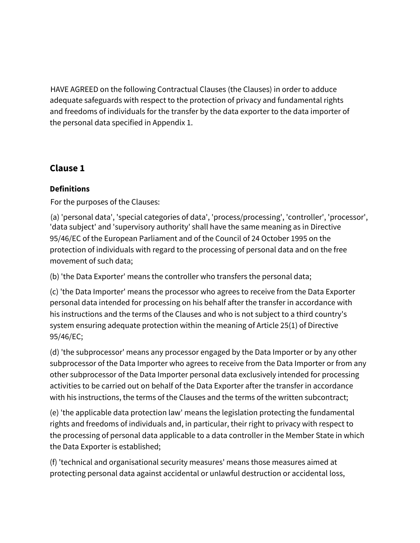HAVE AGREED on the following Contractual Clauses (the Clauses) in order to adduce adequate safeguards with respect to the protection of privacy and fundamental rights and freedoms of individuals for the transfer by the data exporter to the data importer of the personal data specified in Appendix 1.

#### **Clause 1**

#### **Definitions**

For the purposes of the Clauses:

(a) 'personal data', 'special categories of data', 'process/processing', 'controller', 'processor', 'data subject' and 'supervisory authority' shall have the same meaning as in Directive 95/46/EC of the European Parliament and of the Council of 24 October 1995 on the protection of individuals with regard to the processing of personal data and on the free movement of such data;

(b) 'the Data Exporter' means the controller who transfers the personal data;

(c) 'the Data Importer' means the processor who agrees to receive from the Data Exporter personal data intended for processing on his behalf after the transfer in accordance with his instructions and the terms of the Clauses and who is not subject to a third country's system ensuring adequate protection within the meaning of Article 25(1) of Directive 95/46/EC;

(d) 'the subprocessor' means any processor engaged by the Data Importer or by any other subprocessor of the Data Importer who agrees to receive from the Data Importer or from any other subprocessor of the Data Importer personal data exclusively intended for processing activities to be carried out on behalf of the Data Exporter after the transfer in accordance with his instructions, the terms of the Clauses and the terms of the written subcontract;

(e) 'the applicable data protection law' means the legislation protecting the fundamental rights and freedoms of individuals and, in particular, their right to privacy with respect to the processing of personal data applicable to a data controller in the Member State in which the Data Exporter is established;

(f) 'technical and organisational security measures' means those measures aimed at protecting personal data against accidental or unlawful destruction or accidental loss,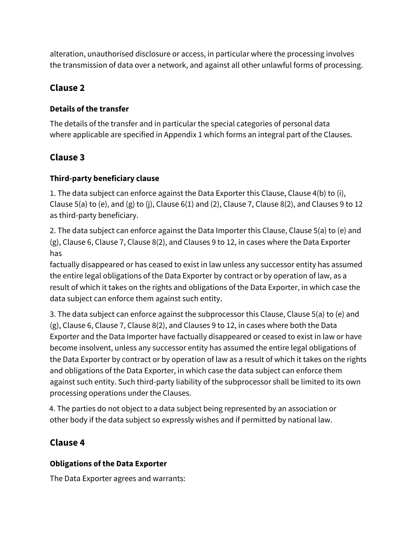alteration, unauthorised disclosure or access, in particular where the processing involves the transmission of data over a network, and against all other unlawful forms of processing.

## **Clause 2**

#### **Details of the transfer**

The details of the transfer and in particular the special categories of personal data where applicable are specified in Appendix 1 which forms an integral part of the Clauses.

## **Clause 3**

#### **Third-party beneficiary clause**

1. The data subject can enforce against the Data Exporter this Clause, Clause 4(b) to (i), Clause 5(a) to (e), and (g) to (j), Clause  $6(1)$  and (2), Clause 7, Clause 8(2), and Clauses 9 to 12 as third-party beneficiary.

2. The data subject can enforce against the Data Importer this Clause, Clause 5(a) to (e) and (g), Clause 6, Clause 7, Clause 8(2), and Clauses 9 to 12, in cases where the Data Exporter has

factually disappeared or has ceased to exist in law unless any successor entity has assumed the entire legal obligations of the Data Exporter by contract or by operation of law, as a result of which it takes on the rights and obligations of the Data Exporter, in which case the data subject can enforce them against such entity.

3. The data subject can enforce against the subprocessor this Clause, Clause 5(a) to (e) and (g), Clause 6, Clause 7, Clause 8(2), and Clauses 9 to 12, in cases where both the Data Exporter and the Data Importer have factually disappeared or ceased to exist in law or have become insolvent, unless any successor entity has assumed the entire legal obligations of the Data Exporter by contract or by operation of law as a result of which it takes on the rights and obligations of the Data Exporter, in which case the data subject can enforce them against such entity. Such third-party liability of the subprocessor shall be limited to its own processing operations under the Clauses.

4. The parties do not object to a data subject being represented by an association or other body if the data subject so expressly wishes and if permitted by national law.

## **Clause 4**

#### **Obligations of the Data Exporter**

The Data Exporter agrees and warrants: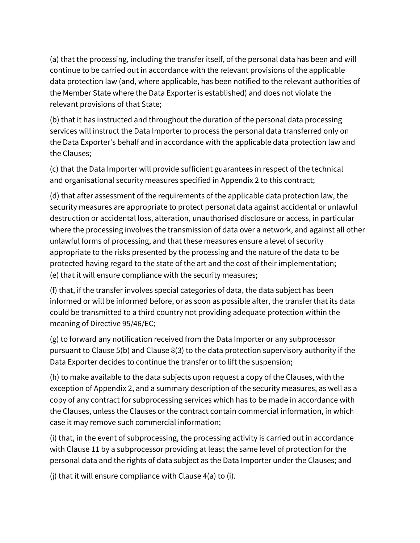(a) that the processing, including the transfer itself, of the personal data has been and will continue to be carried out in accordance with the relevant provisions of the applicable data protection law (and, where applicable, has been notified to the relevant authorities of the Member State where the Data Exporter is established) and does not violate the relevant provisions of that State;

(b) that it has instructed and throughout the duration of the personal data processing services will instruct the Data Importer to process the personal data transferred only on the Data Exporter's behalf and in accordance with the applicable data protection law and the Clauses;

(c) that the Data Importer will provide sufficient guarantees in respect of the technical and organisational security measures specified in Appendix 2 to this contract;

(d) that after assessment of the requirements of the applicable data protection law, the security measures are appropriate to protect personal data against accidental or unlawful destruction or accidental loss, alteration, unauthorised disclosure or access, in particular where the processing involves the transmission of data over a network, and against all other unlawful forms of processing, and that these measures ensure a level of security appropriate to the risks presented by the processing and the nature of the data to be protected having regard to the state of the art and the cost of their implementation; (e) that it will ensure compliance with the security measures;

(f) that, if the transfer involves special categories of data, the data subject has been informed or will be informed before, or as soon as possible after, the transfer that its data could be transmitted to a third country not providing adequate protection within the meaning of Directive 95/46/EC;

(g) to forward any notification received from the Data Importer or any subprocessor pursuant to Clause 5(b) and Clause 8(3) to the data protection supervisory authority if the Data Exporter decides to continue the transfer or to lift the suspension;

(h) to make available to the data subjects upon request a copy of the Clauses, with the exception of Appendix 2, and a summary description of the security measures, as well as a copy of any contract for subprocessing services which has to be made in accordance with the Clauses, unless the Clauses or the contract contain commercial information, in which case it may remove such commercial information;

(i) that, in the event of subprocessing, the processing activity is carried out in accordance with Clause 11 by a subprocessor providing at least the same level of protection for the personal data and the rights of data subject as the Data Importer under the Clauses; and

(j) that it will ensure compliance with Clause 4(a) to (i).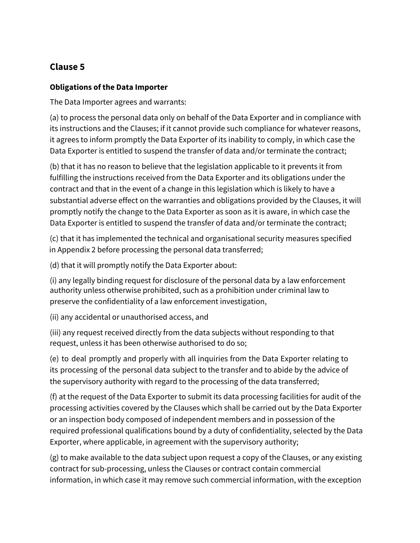## **Clause 5**

#### **Obligations of the Data Importer**

The Data Importer agrees and warrants:

(a) to process the personal data only on behalf of the Data Exporter and in compliance with its instructions and the Clauses; if it cannot provide such compliance for whatever reasons, it agrees to inform promptly the Data Exporter of its inability to comply, in which case the Data Exporter is entitled to suspend the transfer of data and/or terminate the contract;

(b) that it has no reason to believe that the legislation applicable to it prevents it from fulfilling the instructions received from the Data Exporter and its obligations under the contract and that in the event of a change in this legislation which is likely to have a substantial adverse effect on the warranties and obligations provided by the Clauses, it will promptly notify the change to the Data Exporter as soon as it is aware, in which case the Data Exporter is entitled to suspend the transfer of data and/or terminate the contract;

(c) that it has implemented the technical and organisational security measures specified in Appendix 2 before processing the personal data transferred;

(d) that it will promptly notify the Data Exporter about:

(i) any legally binding request for disclosure of the personal data by a law enforcement authority unless otherwise prohibited, such as a prohibition under criminal law to preserve the confidentiality of a law enforcement investigation,

(ii) any accidental or unauthorised access, and

(iii) any request received directly from the data subjects without responding to that request, unless it has been otherwise authorised to do so;

(e) to deal promptly and properly with all inquiries from the Data Exporter relating to its processing of the personal data subject to the transfer and to abide by the advice of the supervisory authority with regard to the processing of the data transferred;

(f) at the request of the Data Exporter to submit its data processing facilities for audit of the processing activities covered by the Clauses which shall be carried out by the Data Exporter or an inspection body composed of independent members and in possession of the required professional qualifications bound by a duty of confidentiality, selected by the Data Exporter, where applicable, in agreement with the supervisory authority;

 $(g)$  to make available to the data subject upon request a copy of the Clauses, or any existing contract for sub-processing, unless the Clauses or contract contain commercial information, in which case it may remove such commercial information, with the exception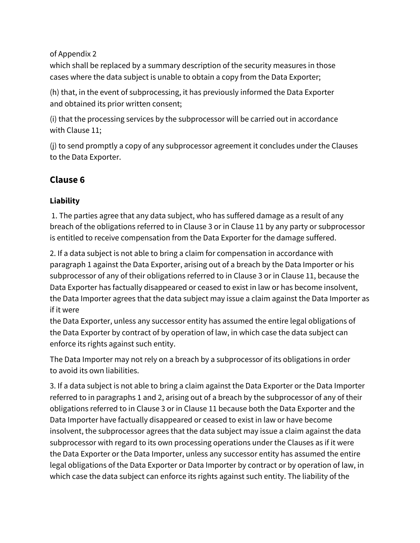of Appendix 2

which shall be replaced by a summary description of the security measures in those cases where the data subject is unable to obtain a copy from the Data Exporter;

(h) that, in the event of subprocessing, it has previously informed the Data Exporter and obtained its prior written consent;

(i) that the processing services by the subprocessor will be carried out in accordance with Clause 11;

(j) to send promptly a copy of any subprocessor agreement it concludes under the Clauses to the Data Exporter.

## **Clause 6**

### **Liability**

1. The parties agree that any data subject, who has suffered damage as a result of any breach of the obligations referred to in Clause 3 or in Clause 11 by any party or subprocessor is entitled to receive compensation from the Data Exporter for the damage suffered.

2. If a data subject is not able to bring a claim for compensation in accordance with paragraph 1 against the Data Exporter, arising out of a breach by the Data Importer or his subprocessor of any of their obligations referred to in Clause 3 or in Clause 11, because the Data Exporter has factually disappeared or ceased to exist in law or has become insolvent, the Data Importer agrees that the data subject may issue a claim against the Data Importer as if it were

the Data Exporter, unless any successor entity has assumed the entire legal obligations of the Data Exporter by contract of by operation of law, in which case the data subject can enforce its rights against such entity.

The Data Importer may not rely on a breach by a subprocessor of its obligations in order to avoid its own liabilities.

3. If a data subject is not able to bring a claim against the Data Exporter or the Data Importer referred to in paragraphs 1 and 2, arising out of a breach by the subprocessor of any of their obligations referred to in Clause 3 or in Clause 11 because both the Data Exporter and the Data Importer have factually disappeared or ceased to exist in law or have become insolvent, the subprocessor agrees that the data subject may issue a claim against the data subprocessor with regard to its own processing operations under the Clauses as if it were the Data Exporter or the Data Importer, unless any successor entity has assumed the entire legal obligations of the Data Exporter or Data Importer by contract or by operation of law, in which case the data subject can enforce its rights against such entity. The liability of the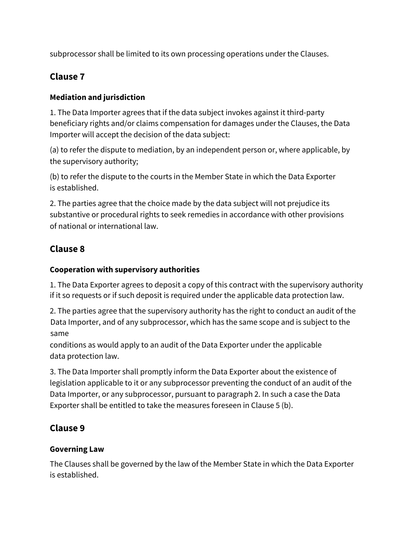subprocessor shall be limited to its own processing operations under the Clauses.

### **Clause 7**

#### **Mediation and jurisdiction**

1. The Data Importer agrees that if the data subject invokes against it third-party beneficiary rights and/or claims compensation for damages under the Clauses, the Data Importer will accept the decision of the data subject:

(a) to refer the dispute to mediation, by an independent person or, where applicable, by the supervisory authority;

(b) to refer the dispute to the courts in the Member State in which the Data Exporter is established.

2. The parties agree that the choice made by the data subject will not prejudice its substantive or procedural rights to seek remedies in accordance with other provisions of national or international law.

## **Clause 8**

#### **Cooperation with supervisory authorities**

1. The Data Exporter agrees to deposit a copy of this contract with the supervisory authority if it so requests or if such deposit is required under the applicable data protection law.

2. The parties agree that the supervisory authority has the right to conduct an audit of the Data Importer, and of any subprocessor, which has the same scope and is subject to the same

conditions as would apply to an audit of the Data Exporter under the applicable data protection law.

3. The Data Importer shall promptly inform the Data Exporter about the existence of legislation applicable to it or any subprocessor preventing the conduct of an audit of the Data Importer, or any subprocessor, pursuant to paragraph 2. In such a case the Data Exporter shall be entitled to take the measures foreseen in Clause 5 (b).

## **Clause 9**

#### **Governing Law**

The Clauses shall be governed by the law of the Member State in which the Data Exporter is established.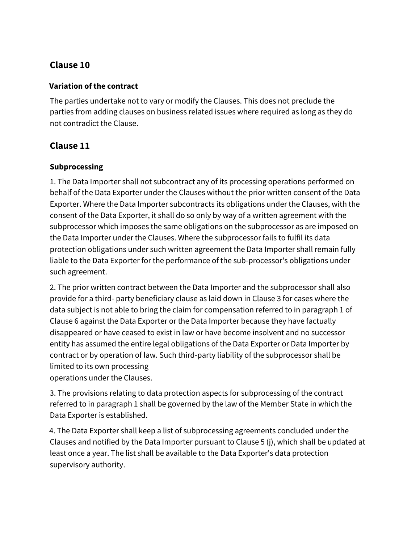#### **Clause 10**

#### **Variation of the contract**

The parties undertake not to vary or modify the Clauses. This does not preclude the parties from adding clauses on business related issues where required as long as they do not contradict the Clause.

### **Clause 11**

#### **Subprocessing**

1. The Data Importer shall not subcontract any of its processing operations performed on behalf of the Data Exporter under the Clauses without the prior written consent of the Data Exporter. Where the Data Importer subcontracts its obligations under the Clauses, with the consent of the Data Exporter, it shall do so only by way of a written agreement with the subprocessor which imposes the same obligations on the subprocessor as are imposed on the Data Importer under the Clauses. Where the subprocessor fails to fulfil its data protection obligations under such written agreement the Data Importer shall remain fully liable to the Data Exporter for the performance of the sub-processor's obligations under such agreement.

2. The prior written contract between the Data Importer and the subprocessor shall also provide for a third- party beneficiary clause as laid down in Clause 3 for cases where the data subject is not able to bring the claim for compensation referred to in paragraph 1 of Clause 6 against the Data Exporter or the Data Importer because they have factually disappeared or have ceased to exist in law or have become insolvent and no successor entity has assumed the entire legal obligations of the Data Exporter or Data Importer by contract or by operation of law. Such third-party liability of the subprocessor shall be limited to its own processing

operations under the Clauses.

3. The provisions relating to data protection aspects for subprocessing of the contract referred to in paragraph 1 shall be governed by the law of the Member State in which the Data Exporter is established.

4. The Data Exporter shall keep a list of subprocessing agreements concluded under the Clauses and notified by the Data Importer pursuant to Clause 5 (j), which shall be updated at least once a year. The list shall be available to the Data Exporter's data protection supervisory authority.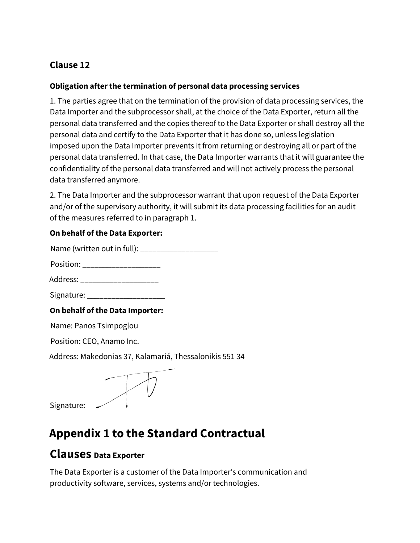#### **Clause 12**

#### **Obligation after the termination of personal data processing services**

1. The parties agree that on the termination of the provision of data processing services, the Data Importer and the subprocessor shall, at the choice of the Data Exporter, return all the personal data transferred and the copies thereof to the Data Exporter or shall destroy all the personal data and certify to the Data Exporter that it has done so, unless legislation imposed upon the Data Importer prevents it from returning or destroying all or part of the personal data transferred. In that case, the Data Importer warrants that it will guarantee the confidentiality of the personal data transferred and will not actively process the personal data transferred anymore.

2. The Data Importer and the subprocessor warrant that upon request of the Data Exporter and/or of the supervisory authority, it will submit its data processing facilities for an audit of the measures referred to in paragraph 1.

#### **On behalf of the Data Exporter:**

Name (written out in full): \_\_\_\_\_\_\_\_\_\_\_\_\_\_\_\_\_\_\_\_\_

Position:

Address: \_\_\_\_\_\_\_\_\_\_\_\_\_\_\_\_\_\_\_

Signature: \_\_\_\_\_\_\_\_\_\_\_\_\_\_\_\_\_\_\_

#### **On behalf of the Data Importer:**

Name: Panos Tsimpoglou

Position: CEO, Anamo Inc.

Address: Makedonias 37, Kalamariá, Thessalonikis 551 34

Signature:

## **Appendix 1 to the Standard Contractual**

## **Clauses Data Exporter**

The Data Exporter is a customer of the Data Importer's communication and productivity software, services, systems and/or technologies.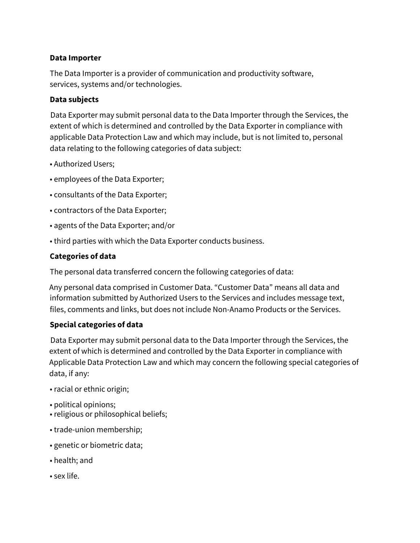#### **Data Importer**

The Data Importer is a provider of communication and productivity software, services, systems and/or technologies.

#### **Data subjects**

Data Exporter may submit personal data to the Data Importer through the Services, the extent of which is determined and controlled by the Data Exporter in compliance with applicable Data Protection Law and which may include, but is not limited to, personal data relating to the following categories of data subject:

- Authorized Users;
- employees of the Data Exporter;
- consultants of the Data Exporter;
- contractors of the Data Exporter;
- agents of the Data Exporter; and/or
- third parties with which the Data Exporter conducts business.

#### **Categories of data**

The personal data transferred concern the following categories of data:

Any personal data comprised in Customer Data. "Customer Data" means all data and information submitted by Authorized Users to the Services and includes message text, files, comments and links, but does not include Non-Anamo Products or the Services.

#### **Special categories of data**

Data Exporter may submit personal data to the Data Importer through the Services, the extent of which is determined and controlled by the Data Exporter in compliance with Applicable Data Protection Law and which may concern the following special categories of data, if any:

- racial or ethnic origin;
- political opinions;
- religious or philosophical beliefs;
- trade-union membership;
- genetic or biometric data;
- health; and
- sex life.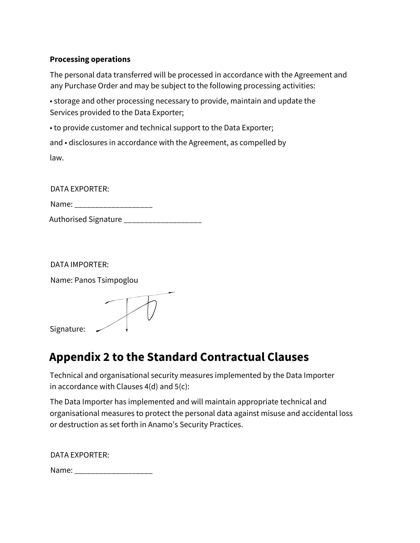#### **Processing operations**

The personal data transferred will be processed in accordance with the Agreement and any Purchase Order and may be subject to the following processing activities:

• storage and other processing necessary to provide, maintain and update the Services provided to the Data Exporter;

• to provide customer and technical support to the Data Exporter;

and • disclosures in accordance with the Agreement, as compelled by law.

DATA EXPORTER:

Name:  $\blacksquare$ 

Authorised Signature \_\_\_\_\_\_\_\_\_\_\_\_\_\_\_\_\_\_\_\_

DATA IMPORTER:

Name: Panos Tsimpoglou

Signature:

## **Appendix 2 to the Standard Contractual Clauses**

Technical and organisational security measures implemented by the Data Importer in accordance with Clauses 4(d) and 5(c):

The Data Importer has implemented and will maintain appropriate technical and organisational measures to protect the personal data against misuse and accidental loss or destruction as set forth in Anamo's Security Practices.

DATA EXPORTER:

Name: \_\_\_\_\_\_\_\_\_\_\_\_\_\_\_\_\_\_\_\_\_\_\_